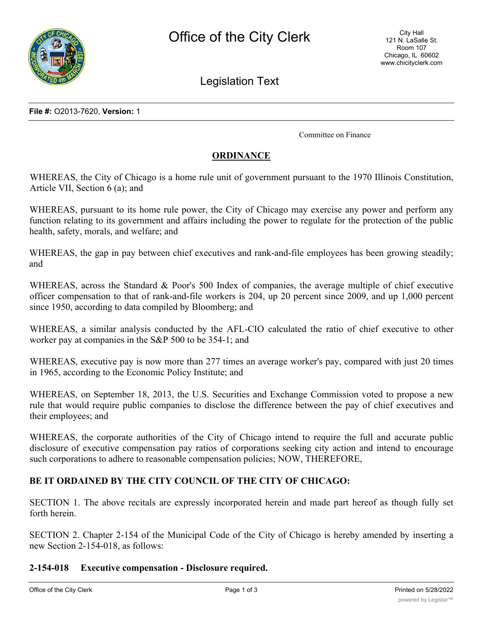

Legislation Text

**File #:** O2013-7620, **Version:** 1

Committee on Finance

### **ORDINANCE**

WHEREAS, the City of Chicago is a home rule unit of government pursuant to the 1970 Illinois Constitution, Article VII, Section 6 (a); and

WHEREAS, pursuant to its home rule power, the City of Chicago may exercise any power and perform any function relating to its government and affairs including the power to regulate for the protection of the public health, safety, morals, and welfare; and

WHEREAS, the gap in pay between chief executives and rank-and-file employees has been growing steadily; and

WHEREAS, across the Standard & Poor's 500 Index of companies, the average multiple of chief executive officer compensation to that of rank-and-file workers is 204, up 20 percent since 2009, and up 1,000 percent since 1950, according to data compiled by Bloomberg; and

WHEREAS, a similar analysis conducted by the AFL-CIO calculated the ratio of chief executive to other worker pay at companies in the S&P 500 to be 354-1; and

WHEREAS, executive pay is now more than 277 times an average worker's pay, compared with just 20 times in 1965, according to the Economic Policy Institute; and

WHEREAS, on September 18, 2013, the U.S. Securities and Exchange Commission voted to propose a new rule that would require public companies to disclose the difference between the pay of chief executives and their employees; and

WHEREAS, the corporate authorities of the City of Chicago intend to require the full and accurate public disclosure of executive compensation pay ratios of corporations seeking city action and intend to encourage such corporations to adhere to reasonable compensation policies; NOW, THEREFORE,

## **BE IT ORDAINED BY THE CITY COUNCIL OF THE CITY OF CHICAGO:**

SECTION 1. The above recitals are expressly incorporated herein and made part hereof as though fully set forth herein.

SECTION 2. Chapter 2-154 of the Municipal Code of the City of Chicago is hereby amended by inserting a new Section 2-154-018, as follows:

#### **2-154-018 Executive compensation - Disclosure required.**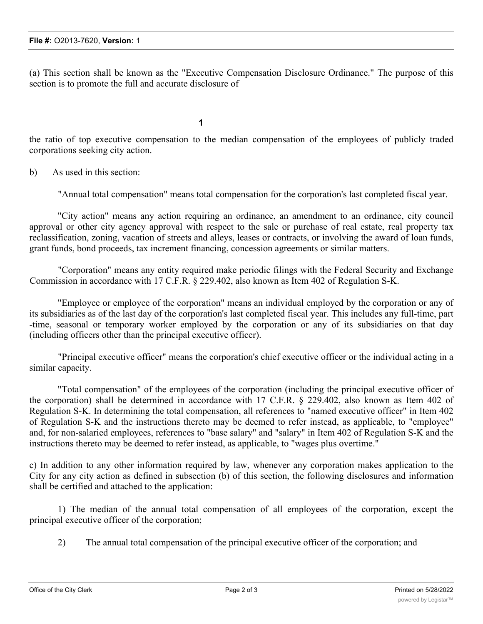(a) This section shall be known as the "Executive Compensation Disclosure Ordinance." The purpose of this section is to promote the full and accurate disclosure of

**1**

the ratio of top executive compensation to the median compensation of the employees of publicly traded corporations seeking city action.

b) As used in this section:

"Annual total compensation" means total compensation for the corporation's last completed fiscal year.

"City action" means any action requiring an ordinance, an amendment to an ordinance, city council approval or other city agency approval with respect to the sale or purchase of real estate, real property tax reclassification, zoning, vacation of streets and alleys, leases or contracts, or involving the award of loan funds, grant funds, bond proceeds, tax increment financing, concession agreements or similar matters.

"Corporation" means any entity required make periodic filings with the Federal Security and Exchange Commission in accordance with 17 C.F.R. § 229.402, also known as Item 402 of Regulation S-K.

"Employee or employee of the corporation" means an individual employed by the corporation or any of its subsidiaries as of the last day of the corporation's last completed fiscal year. This includes any full-time, part -time, seasonal or temporary worker employed by the corporation or any of its subsidiaries on that day (including officers other than the principal executive officer).

"Principal executive officer" means the corporation's chief executive officer or the individual acting in a similar capacity.

"Total compensation" of the employees of the corporation (including the principal executive officer of the corporation) shall be determined in accordance with 17 C.F.R. § 229.402, also known as Item 402 of Regulation S-K. In determining the total compensation, all references to "named executive officer" in Item 402 of Regulation S-K and the instructions thereto may be deemed to refer instead, as applicable, to "employee" and, for non-salaried employees, references to "base salary" and "salary" in Item 402 of Regulation S-K and the instructions thereto may be deemed to refer instead, as applicable, to "wages plus overtime."

c) In addition to any other information required by law, whenever any corporation makes application to the City for any city action as defined in subsection (b) of this section, the following disclosures and information shall be certified and attached to the application:

1) The median of the annual total compensation of all employees of the corporation, except the principal executive officer of the corporation;

2) The annual total compensation of the principal executive officer of the corporation; and